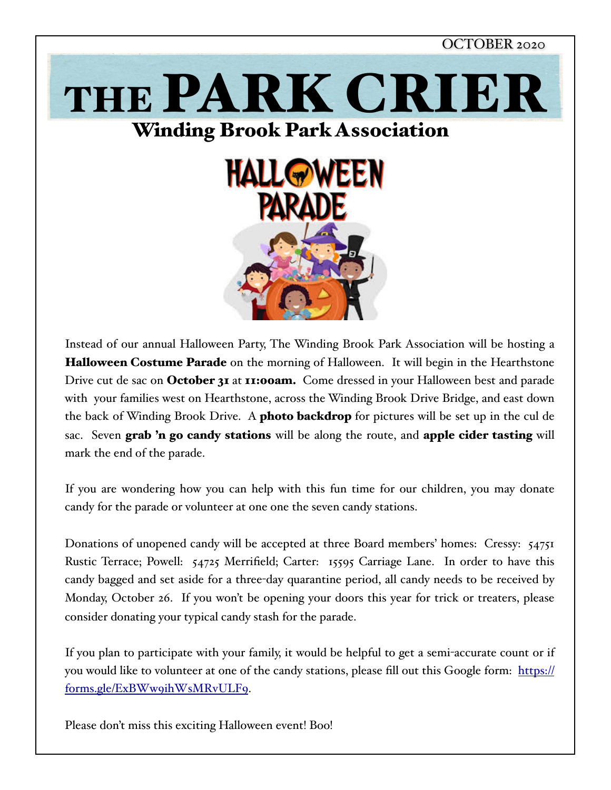

Instead of our annual Halloween Party, The Winding Brook Park Association will be hosting a Halloween Costume Parade on the morning of Halloween. It will begin in the Hearthstone Drive cut de sac on October 31 at 11:00am. Come dressed in your Halloween best and parade with your families west on Hearthstone, across the Winding Brook Drive Bridge, and east down the back of Winding Brook Drive. A **photo backdrop** for pictures will be set up in the cul de sac. Seven grab 'n go candy stations will be along the route, and apple cider tasting will mark the end of the parade.

If you are wondering how you can help with this fun time for our children, you may donate candy for the parade or volunteer at one one the seven candy stations.

Donations of unopened candy will be accepted at three Board members' homes: Cressy: 54751 Rustic Terrace; Powell: 54725 Merrifield; Carter: 15595 Carriage Lane. In order to have this candy bagged and set aside for a three-day quarantine period, all candy needs to be received by Monday, October 26. If you won't be opening your doors this year for trick or treaters, please consider donating your typical candy stash for the parade.

If you plan to participate with your family, it would be helpful to get a semi-accurate count or if you would like to volunteer at one of the candy stations, please fill out this Google form: [https://](https://forms.gle/ExBWw9ihWsMRvULF9) [forms.gle/ExBWw9ihWsMRvULF9](https://forms.gle/ExBWw9ihWsMRvULF9).

Please don't miss this exciting Halloween event! Boo!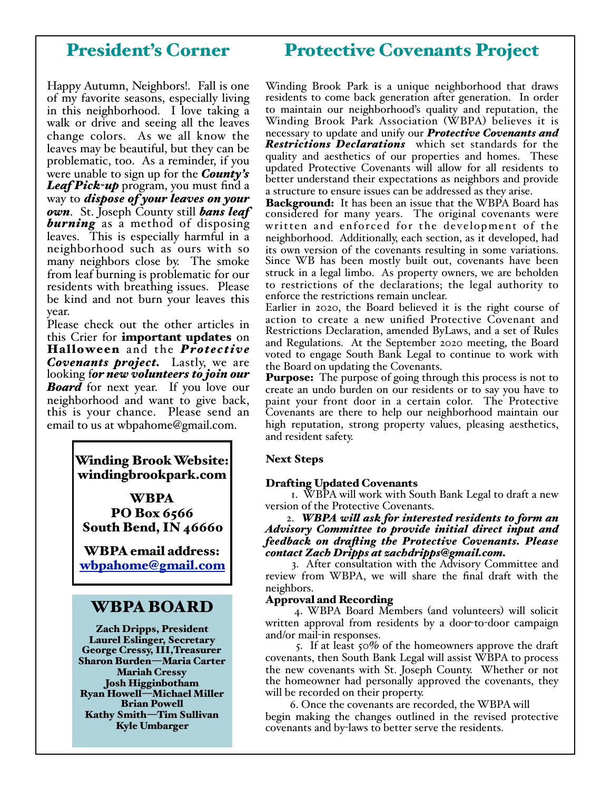# President's Corner

# Protective Covenants Project

Happy Autumn, Neighbors!. Fall is one of my favorite seasons, especially living in this neighborhood. I love taking a walk or drive and seeing all the leaves change colors. As we all know the leaves may be beautiful, but they can be problematic, too. As a reminder, if you were unable to sign up for the *County's Leaf Pick-up* program, you must find a way to *dispose of your leaves on your own*. St. Joseph County still *bans leaf*  **burning** as a method of disposing leaves. This is especially harmful in a neighborhood such as ours with so many neighbors close by. The smoke from leaf burning is problematic for our residents with breathing issues. Please be kind and not burn your leaves this year.

Please check out the other articles in this Crier for **important updates** on Halloween and the *Protective Covenants project.* Lastly, we are looking f*or new volunteers to join our Board* for next year. If you love our neighborhood and want to give back, this is your chance. Please send an email to us at wbpahome@gmail.com.

> Winding Brook Website: windingbrookpark.com

WBPA PO Box 6566 South Bend, IN 46660

WBPA email address: [wbpahome@gmail.com](mailto:wbpahome@gmail.com)

### WBPA BOARD

Zach Dripps, President Laurel Eslinger, Secretary George Cressy, III,Treasurer Sharon Burden—Maria Carter Mariah Cressy Josh Higginbotham Ryan Howell—Michael Miller Brian Powell Kathy Smith—Tim Sullivan Kyle Umbarger

Winding Brook Park is a unique neighborhood that draws residents to come back generation after generation. In order to maintain our neighborhood's quality and reputation, the Winding Brook Park Association (WBPA) believes it is necessary to update and unify our *Protective Covenants and Restrictions Declarations* which set standards for the quality and aesthetics of our properties and homes. These updated Protective Covenants will allow for all residents to better understand their expectations as neighbors and provide a structure to ensure issues can be addressed as they arise.

Background: It has been an issue that the WBPA Board has considered for many years. The original covenants were written and enforced for the development of the neighborhood. Additionally, each section, as it developed, had its own version of the covenants resulting in some variations. Since WB has been mostly built out, covenants have been struck in a legal limbo. As property owners, we are beholden to restrictions of the declarations; the legal authority to enforce the restrictions remain unclear.

Earlier in 2020, the Board believed it is the right course of action to create a new unified Protective Covenant and Restrictions Declaration, amended ByLaws, and a set of Rules and Regulations. At the September 2020 meeting, the Board voted to engage South Bank Legal to continue to work with the Board on updating the Covenants.

**Purpose:** The purpose of going through this process is not to create an undo burden on our residents or to say you have to paint your front door in a certain color. The Protective Covenants are there to help our neighborhood maintain our high reputation, strong property values, pleasing aesthetics, and resident safety.

#### Next Steps

#### Drafting Updated Covenants

 1. WBPA will work with South Bank Legal to draft a new version of the Protective Covenants.

#### 2. *WBPA wil ask for interested residents to form an Advisory Committee to provide initial direct input and feedback on drafing the Protective Covenants. Please contact Zach Dripps at zachdripps@gmail.com.*

 3. After consultation with the Advisory Committee and review from WBPA, we will share the final draft with the neighbors.

#### Approval and Recording

 4. WBPA Board Members (and volunteers) will solicit written approval from residents by a door-to-door campaign and/or mail-in responses.

 5. If at least 50% of the homeowners approve the draft covenants, then South Bank Legal will assist WBPA to process the new covenants with St. Joseph County. Whether or not the homeowner had personally approved the covenants, they will be recorded on their property.

 6. Once the covenants are recorded, the WBPA will begin making the changes outlined in the revised protective covenants and by-laws to better serve the residents.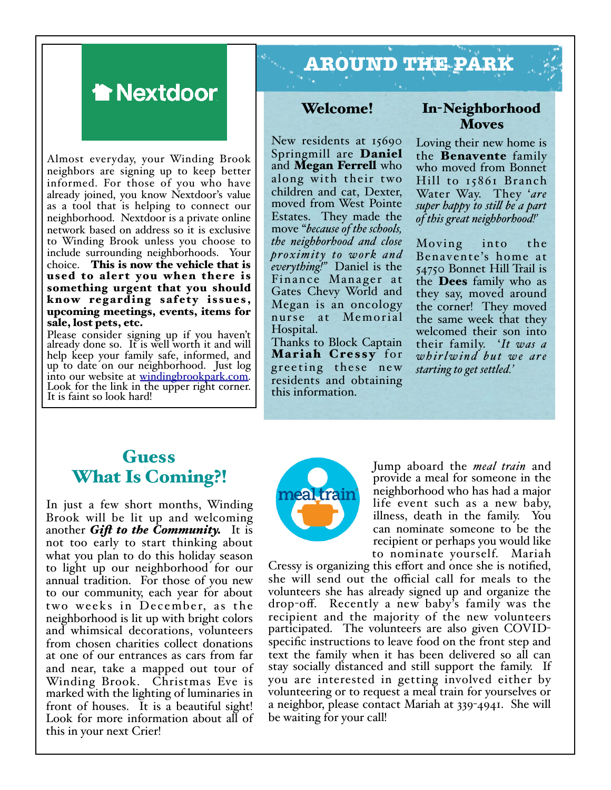

Almost everyday, your Winding Brook neighbors are signing up to keep better informed. For those of you who have already joined, you know Nextdoor's value as a tool that is helping to connect our neighborhood. Nextdoor is a private online network based on address so it is exclusive to Winding Brook unless you choose to include surrounding neighborhoods. Your choice. This is now the vehicle that is used to alert you when there is something urgent that you should know regarding safety issues, upcoming meetings, events, items for sale, lost pets, etc.

Please consider signing up if you haven't already done so. It is well worth it and will help keep your family safe, informed, and up to date on our neighborhood. Just log into our website at winding brookpark.com. Look for the link i[n the upper right corner.](http://windingbrookpark.com) It is faint so look hard!

# **AROUND THE PARK**

#### Welcome!

New residents at 15690 Springmill are Daniel and Megan Ferrell who along with their two children and cat, Dexter, moved from West Pointe Estates. They made the move "*because of the schools, the neighborhood and close proximity to work and everything!"* Daniel is the Finance Mana ger at Gates Chevy World and Megan is an oncology nurse at Memorial Hospital.

Thanks to Block Captain Mariah Cressy for greeting these new residents and obtaining this information.

### In-Neighborhood Moves

Loving their new home is the Benavente family who moved from Bonnet Hill to 15861 Branch Water Way. They '*are super happy to stil be a part of this great neighborhood!'*

Moving into the Bena vente's home at 54750 Bonnet Hill Trail is the Dees family who as they say, moved around the corner! They moved the same week that they welcomed their son into their family. '*It was a w h i r l w i n d b u t w e a r e starting to get settled.'*

# **Guess** What Is Coming?!

In just a few short months, Winding Brook will be lit up and welcoming another *Gif to the Community.* It is not too early to start thinking about what you plan to do this holiday season to light up our neighborhood for our annual tradition. For those of you new to our community, each year for about two weeks in December, as the neighborhood is lit up with bright colors and whimsical decorations, volunteers from chosen charities collect donations at one of our entrances as cars from far and near, take a mapped out tour of Winding Brook. Christmas Eve is marked with the lighting of luminaries in front of houses. It is a beautiful sight! Look for more information about all of this in your next Crier!



Jump aboard the *meal train* and provide a meal for someone in the neighborhood who has had a major life event such as a new baby, illness, death in the family. You can nominate someone to be the recipient or perhaps you would like

to nominate yourself. Mariah Cressy is organizing this effort and once she is notified, she will send out the official call for meals to the volunteers she has already signed up and organize the drop-off. Recently a new baby's family was the recipient and the majority of the new volunteers participated. The volunteers are also given COVIDspecific instructions to leave food on the front step and text the family when it has been delivered so all can stay socially distanced and still support the family. If you are interested in getting involved either by volunteering or to request a meal train for yourselves or a neighbor, please contact Mariah at 339-4941. She will be waiting for your call!